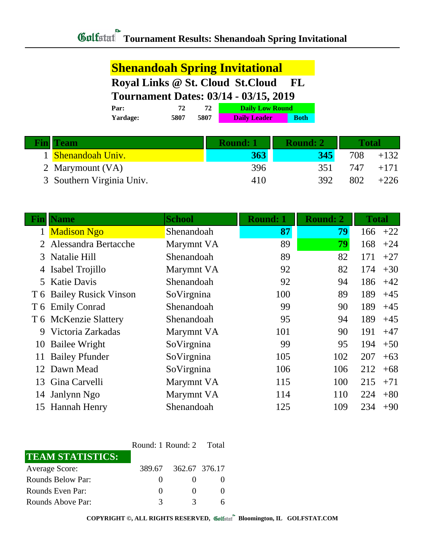## **Shenandoah Spring Invitational Royal Links @ St. Cloud St.Cloud FL Tournament Dates: 03/14 - 03/15, 2019**

| Par:            | 77   |      | <b>Daily Low Round</b> |             |
|-----------------|------|------|------------------------|-------------|
| <b>Yardage:</b> | 5807 | 5807 | <b>Daily Leader</b>    | <b>Both</b> |
|                 |      |      |                        |             |

| <b>Fin</b> | <b>Team</b>               | <b>Round: 1</b> | <b>Round: 2</b> | <b>Total</b> |        |
|------------|---------------------------|-----------------|-----------------|--------------|--------|
|            | 1 Shenandoah Univ.        | 363             | 345             | 708          | $+132$ |
|            | 2 Marymount (VA)          | 396             | 351             | 747          | $+171$ |
|            | 3 Southern Virginia Univ. | 410             | 392             | 802          | $+226$ |

| Fin | <b>Name</b>              | <b>School</b> | Round: 1 | <b>Round: 2</b> | <b>Total</b> |
|-----|--------------------------|---------------|----------|-----------------|--------------|
|     | <b>Madison Ngo</b>       | Shenandoah    | 87       | 79              | $+22$<br>166 |
|     | Alessandra Bertacche     | Marymnt VA    | 89       | 79              | 168<br>$+24$ |
|     | 3 Natalie Hill           | Shenandoah    | 89       | 82              | 171<br>$+27$ |
|     | 4 Isabel Trojillo        | Marymnt VA    | 92       | 82              | 174<br>$+30$ |
|     | 5 Katie Davis            | Shenandoah    | 92       | 94              | 186<br>$+42$ |
|     | T 6 Bailey Rusick Vinson | SoVirgnina    | 100      | 89              | 189<br>$+45$ |
|     | T 6 Emily Conrad         | Shenandoah    | 99       | 90              | 189<br>$+45$ |
|     | T 6 McKenzie Slattery    | Shenandoah    | 95       | 94              | 189<br>$+45$ |
| 9   | Victoria Zarkadas        | Marymnt VA    | 101      | 90              | 191<br>$+47$ |
| 10  | Bailee Wright            | SoVirgnina    | 99       | 95              | 194<br>$+50$ |
| 11  | <b>Bailey Pfunder</b>    | SoVirgnina    | 105      | 102             | 207<br>$+63$ |
| 12  | Dawn Mead                | SoVirgnina    | 106      | 106             | $+68$<br>212 |
|     | 13 Gina Carvelli         | Marymnt VA    | 115      | 100             | 215<br>$+71$ |
| 14  | Janlynn Ngo              | Marymnt VA    | 114      | 110             | 224<br>$+80$ |
| 15  | <b>Hannah Henry</b>      | Shenandoah    | 125      | 109             | 234<br>$+90$ |

|                         | Round: 1 Round: 2 Total |                      |  |
|-------------------------|-------------------------|----------------------|--|
| <b>TEAM STATISTICS:</b> |                         |                      |  |
| <b>Average Score:</b>   |                         | 389.67 362.67 376.17 |  |
| Rounds Below Par:       | $\mathbf{0}$            |                      |  |
| Rounds Even Par:        | $\mathbf{0}$            |                      |  |
| Rounds Above Par:       | 3                       | 2                    |  |